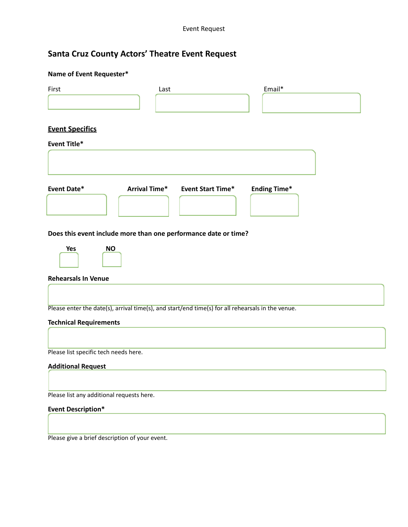## **Santa Cruz County Actors' Theatre Event Request**

| Name of Event Requester*                                                                          |                      |                          |                     |  |
|---------------------------------------------------------------------------------------------------|----------------------|--------------------------|---------------------|--|
| First                                                                                             | Last                 |                          | Email*              |  |
| <b>Event Specifics</b>                                                                            |                      |                          |                     |  |
| <b>Event Title*</b>                                                                               |                      |                          |                     |  |
|                                                                                                   |                      |                          |                     |  |
| <b>Event Date*</b>                                                                                | <b>Arrival Time*</b> | <b>Event Start Time*</b> | <b>Ending Time*</b> |  |
| Does this event include more than one performance date or time?                                   |                      |                          |                     |  |
| Yes<br><b>NO</b>                                                                                  |                      |                          |                     |  |
| <b>Rehearsals In Venue</b>                                                                        |                      |                          |                     |  |
|                                                                                                   |                      |                          |                     |  |
| Please enter the date(s), arrival time(s), and start/end time(s) for all rehearsals in the venue. |                      |                          |                     |  |
| <b>Technical Requirements</b>                                                                     |                      |                          |                     |  |
| Please list specific tech needs here.                                                             |                      |                          |                     |  |
| <b>Additional Request</b>                                                                         |                      |                          |                     |  |
| Please list any additional requests here.                                                         |                      |                          |                     |  |
| <b>Event Description*</b>                                                                         |                      |                          |                     |  |
|                                                                                                   |                      |                          |                     |  |

Please give a brief description of your event.